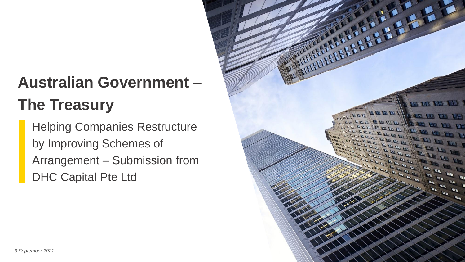# **Australian Government – The Treasury**

Helping Companies Restructure by Improving Schemes of Arrangement – Submission from DHC Capital Pte Ltd

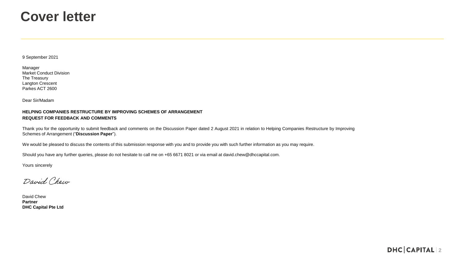#### **Cover letter**

9 September 2021

| Manager                        |
|--------------------------------|
| <b>Market Conduct Division</b> |
| The Treasury                   |
| Langton Crescent               |
| Parkes ACT 2600                |

Dear Sir/Madam

#### **HELPING COMPANIES RESTRUCTURE BY IMPROVING SCHEMES OF ARRANGEMENT REQUEST FOR FEEDBACK AND COMMENTS**

Thank you for the opportunity to submit feedback and comments on the Discussion Paper dated 2 August 2021 in relation to Helping Companies Restructure by Improving Schemes of Arrangement ("**Discussion Paper**").

We would be pleased to discuss the contents of this submission response with you and to provide you with such further information as you may require.

Should you have any further queries, please do not hesitate to call me on +65 6671 8021 or via email at david.chew@dhccapital.com.

Yours sincerely

David Chew

David Chew **Partner DHC Capital Pte Ltd**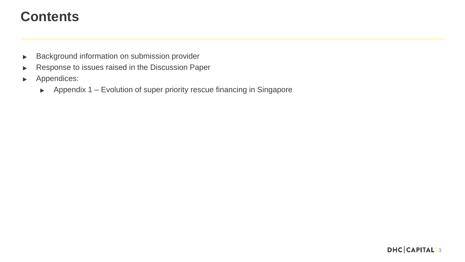#### **Contents**

- Background information on submission provider  $\blacktriangleright$
- Response to issues raised in the Discussion Paper  $\blacktriangleright$
- Appendices:  $\blacktriangleright$ 
	- Appendix 1 Evolution of super priority rescue financing in Singapore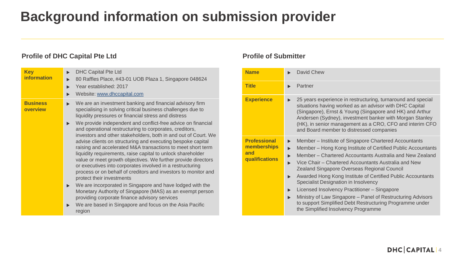# **Background information on submission provider**

#### **Profile of DHC Capital Pte Ltd**

| <b>Key</b><br><b>information</b> | <b>DHC Capital Pte Ltd</b><br>$\blacktriangleright$<br>80 Raffles Place, #43-01 UOB Plaza 1, Singapore 048624<br>$\blacktriangleright$<br>Year established: 2017<br>▶<br>Website: www.dhccapital.com<br>▶                                                                                                                                                                                                                                                                                                                                                                                                                                    |
|----------------------------------|----------------------------------------------------------------------------------------------------------------------------------------------------------------------------------------------------------------------------------------------------------------------------------------------------------------------------------------------------------------------------------------------------------------------------------------------------------------------------------------------------------------------------------------------------------------------------------------------------------------------------------------------|
| <b>Business</b><br>overview      | We are an investment banking and financial advisory firm<br>$\blacktriangleright$<br>specialising in solving critical business challenges due to<br>liquidity pressures or financial stress and distress                                                                                                                                                                                                                                                                                                                                                                                                                                     |
|                                  | We provide independent and conflict-free advice on financial<br>$\blacktriangleright$<br>and operational restructuring to corporates, creditors,<br>investors and other stakeholders, both in and out of Court. We<br>advise clients on structuring and executing bespoke capital<br>raising and accelerated M&A transactions to meet short term<br>liquidity requirements, raise capital to unlock shareholder<br>value or meet growth objectives. We further provide directors<br>or executives into corporates involved in a restructuring<br>process or on behalf of creditors and investors to monitor and<br>protect their investments |
|                                  | We are incorporated in Singapore and have lodged with the<br>▶<br>Monetary Authority of Singapore (MAS) as an exempt person<br>providing corporate finance advisory services                                                                                                                                                                                                                                                                                                                                                                                                                                                                 |
|                                  | We are based in Singapore and focus on the Asia Pacific<br>▶<br>region                                                                                                                                                                                                                                                                                                                                                                                                                                                                                                                                                                       |

#### **Profile of Submitter**

| <b>Name</b>                                                 | David Chew                                                                                                                                                                                                                                                                                                                                                                                                                                                                                                                                                                                                                                                |
|-------------------------------------------------------------|-----------------------------------------------------------------------------------------------------------------------------------------------------------------------------------------------------------------------------------------------------------------------------------------------------------------------------------------------------------------------------------------------------------------------------------------------------------------------------------------------------------------------------------------------------------------------------------------------------------------------------------------------------------|
| <b>Title</b>                                                | Partner                                                                                                                                                                                                                                                                                                                                                                                                                                                                                                                                                                                                                                                   |
| <b>Experience</b>                                           | 25 years experience in restructuring, turnaround and special<br>▶<br>situations having worked as an advisor with DHC Capital<br>(Singapore), Ernst & Young (Singapore and HK) and Arthur<br>Andersen (Sydney), investment banker with Morgan Stanley<br>(HK), in senior management as a CRO, CFO and interim CFO<br>and Board member to distressed companies                                                                                                                                                                                                                                                                                              |
| <b>Professional</b><br>memberships<br>and<br>qualifications | Member – Institute of Singapore Chartered Accountants<br>▶<br>Member – Hong Kong Institute of Certified Public Accountants<br>▶<br>Member – Chartered Accountants Australia and New Zealand<br>Vice Chair - Chartered Accountants Australia and New<br>$\blacktriangleright$<br>Zealand Singapore Overseas Regional Council<br>Awarded Hong Kong Institute of Certified Public Accountants<br>Specialist Designation in Insolvency<br>Licensed Insolvency Practitioner - Singapore<br>ь<br>Ministry of Law Singapore - Panel of Restructuring Advisors<br>to support Simplified Debt Restructuring Programme under<br>the Simplified Insolvency Programme |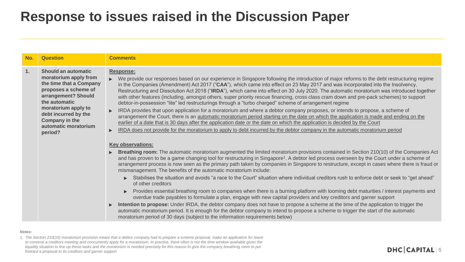| No. | <b>Question</b>                                                                                                                                                                                                                             | <b>Comments</b>                                                                                                                                                                                                                                                                                                                                                                                                                                                                                                                                                                                                                                                                                                                                                                                                                                                                                                                                                                                                                                                                                                                                                                                                                                                                                                                                                                                                                                                                                                                                                                                                                                                                                                                                                                                                                                                                                                                                                                                                                                                                                                                                                                                                                                                                                                                                                                                                                                                                                                                                                                                                                                   |
|-----|---------------------------------------------------------------------------------------------------------------------------------------------------------------------------------------------------------------------------------------------|---------------------------------------------------------------------------------------------------------------------------------------------------------------------------------------------------------------------------------------------------------------------------------------------------------------------------------------------------------------------------------------------------------------------------------------------------------------------------------------------------------------------------------------------------------------------------------------------------------------------------------------------------------------------------------------------------------------------------------------------------------------------------------------------------------------------------------------------------------------------------------------------------------------------------------------------------------------------------------------------------------------------------------------------------------------------------------------------------------------------------------------------------------------------------------------------------------------------------------------------------------------------------------------------------------------------------------------------------------------------------------------------------------------------------------------------------------------------------------------------------------------------------------------------------------------------------------------------------------------------------------------------------------------------------------------------------------------------------------------------------------------------------------------------------------------------------------------------------------------------------------------------------------------------------------------------------------------------------------------------------------------------------------------------------------------------------------------------------------------------------------------------------------------------------------------------------------------------------------------------------------------------------------------------------------------------------------------------------------------------------------------------------------------------------------------------------------------------------------------------------------------------------------------------------------------------------------------------------------------------------------------------------|
| 1.  | Should an automatic<br>moratorium apply from<br>the time that a Company<br>proposes a scheme of<br>arrangement? Should<br>the automatic<br>moratorium apply to<br>debt incurred by the<br>Company in the<br>automatic moratorium<br>period? | <b>Response:</b><br>We provide our responses based on our experience in Singapore following the introduction of major reforms to the debt restructuring regime<br>Ы<br>in the Companies (Amendment) Act 2017 ("CAA"), which came into effect on 23 May 2017 and was incorporated into the Insolvency,<br>Restructuring and Dissolution Act 2018 ("IRDA"), which came into effect on 30 July 2020. The automatic moratorium was introduced together<br>with other features (including, amongst others, super priority rescue financing, cross class cram down and pre-pack schemes) to support<br>debtor-in-possession "lite" led restructurings through a "turbo charged" scheme of arrangement regime<br>IRDA provides that upon application for a moratorium and where a debtor company proposes, or intends to propose, a scheme of<br>$\blacktriangleright$<br>arrangement the Court, there is an automatic moratorium period starting on the date on which the application is made and ending on the<br>earlier of a date that is 30 days after the application date or the date on which the application is decided by the Court<br>IRDA does not provide for the moratorium to apply to debt incurred by the debtor company in the automatic moratorium period<br><b>Key observations:</b><br>Breathing room: The automatic moratorium augmented the limited moratorium provisions contained in Section 210(10) of the Companies Act<br>and has proven to be a game changing tool for restructuring in Singapore <sup>1</sup> . A debtor led process overseen by the Court under a scheme of<br>arrangement process is now seen as the primary path taken by companies in Singapore to restructure, except in cases where there is fraud or<br>mismanagement. The benefits of the automatic moratorium include:<br>Stabilises the situation and avoids "a race to the Court" situation where individual creditors rush to enforce debt or seek to "get ahead"<br>of other creditors<br>Provides essential breathing room to companies when there is a burning platform with looming debt maturities / interest payments and<br>overdue trade payables to formulate a plan, engage with new capital providers and key creditors and garner support<br>Intention to propose: Under IRDA, the debtor company does not have to propose a scheme at the time of the application to trigger the<br>$\blacktriangleright$<br>automatic moratorium period. It is enough for the debtor company to intend to propose a scheme to trigger the start of the automatic<br>moratorium period of 30 days (subject to the information requirements below) |

#### *Notes:*

*1. The Section 210(10) moratorium provision meant that a debtor company had to prepare a scheme proposal, make an application for leave*  to convene a creditors meeting and concurrently apply for a moratorium. In practise, there often is not the time window available given the liquidity situation to line up these tasks and the moratorium is needed precisely for this reason to give the company breathing room to put *forward a proposal to its creditors and garner support*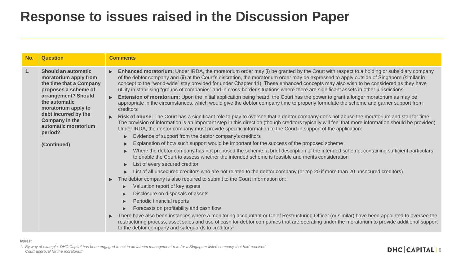| No. | <b>Question</b>                                                                                                                                                                                                                                                          | <b>Comments</b>                                                                                                                                                                                                                                                                                                                                                                                                                                                                                                                                                                                                                                                                                                                                                                                                                                                                                                                                                                                                                                                                                                                                                                                                                                                                                                                                                                                                                                                                                                                                                                                                                                                                                                                                                                                                                                                                                                                                                                                                                                                                                                                                                                                                                                                                                                                                                                                                                                                                                                                    |
|-----|--------------------------------------------------------------------------------------------------------------------------------------------------------------------------------------------------------------------------------------------------------------------------|------------------------------------------------------------------------------------------------------------------------------------------------------------------------------------------------------------------------------------------------------------------------------------------------------------------------------------------------------------------------------------------------------------------------------------------------------------------------------------------------------------------------------------------------------------------------------------------------------------------------------------------------------------------------------------------------------------------------------------------------------------------------------------------------------------------------------------------------------------------------------------------------------------------------------------------------------------------------------------------------------------------------------------------------------------------------------------------------------------------------------------------------------------------------------------------------------------------------------------------------------------------------------------------------------------------------------------------------------------------------------------------------------------------------------------------------------------------------------------------------------------------------------------------------------------------------------------------------------------------------------------------------------------------------------------------------------------------------------------------------------------------------------------------------------------------------------------------------------------------------------------------------------------------------------------------------------------------------------------------------------------------------------------------------------------------------------------------------------------------------------------------------------------------------------------------------------------------------------------------------------------------------------------------------------------------------------------------------------------------------------------------------------------------------------------------------------------------------------------------------------------------------------------|
| 1.  | <b>Should an automatic</b><br>moratorium apply from<br>the time that a Company<br>proposes a scheme of<br>arrangement? Should<br>the automatic<br>moratorium apply to<br>debt incurred by the<br><b>Company in the</b><br>automatic moratorium<br>period?<br>(Continued) | Enhanced moratorium: Under IRDA, the moratorium order may (i) be granted by the Court with respect to a holding or subsidiary company<br>$\blacktriangleright$<br>of the debtor company and (ii) at the Court's discretion, the moratorium order may be expressed to apply outside of Singapore (similar in<br>concept to the "world-wide" stay provided for under Chapter 11). These enhanced concepts may also wish to be considered as they have<br>utility in stabilising "groups of companies" and in cross-border situations where there are significant assets in other jurisdictions<br>Extension of moratorium: Upon the initial application being heard, the Court has the power to grant a longer moratorium as may be<br>$\blacktriangleright$<br>appropriate in the circumstances, which would give the debtor company time to properly formulate the scheme and garner support from<br>creditors<br>Risk of abuse: The Court has a significant role to play to oversee that a debtor company does not abuse the moratorium and stall for time.<br>The provision of information is an important step in this direction (though creditors typically will feel that more information should be provided)<br>Under IRDA, the debtor company must provide specific information to the Court in support of the application:<br>Evidence of support from the debtor company's creditors<br>Explanation of how such support would be important for the success of the proposed scheme<br>Where the debtor company has not proposed the scheme, a brief description of the intended scheme, containing sufficient particulars<br>to enable the Court to assess whether the intended scheme is feasible and merits consideration<br>List of every secured creditor<br>List of all unsecured creditors who are not related to the debtor company (or top 20 if more than 20 unsecured creditors)<br>The debtor company is also required to submit to the Court information on:<br>▶<br>Valuation report of key assets<br>Disclosure on disposals of assets<br>Periodic financial reports<br>Forecasts on profitability and cash flow<br>There have also been instances where a monitoring accountant or Chief Restructuring Officer (or similar) have been appointed to oversee the<br>$\blacktriangleright$<br>restructuring process, asset sales and use of cash for debtor companies that are operating under the moratorium to provide additional support<br>to the debtor company and safeguards to creditors <sup>1</sup> |

*1. By way of example, DHC Capital has been engaged to act in an interim management role for a Singapore listed company that had received Court approval for the moratorium*

*Notes:*

#### **DHC CAPITAL 6**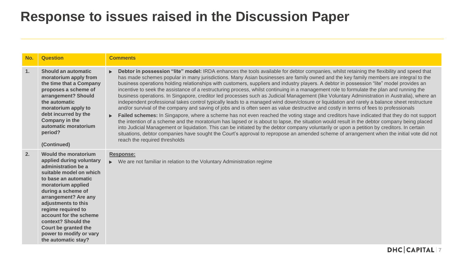| No. | <b>Question</b>                                                                                                                                                                                                                                                                                                                                                               | <b>Comments</b>                                                                                                                                                                                                                                                                                                                                                                                                                                                                                                                                                                                                                                                                                                                                                                                                                                                                                                                                                                                                                                                                                                                                                                                                                                                                                                                                                                                                                                                                                                                                                                                                                                |
|-----|-------------------------------------------------------------------------------------------------------------------------------------------------------------------------------------------------------------------------------------------------------------------------------------------------------------------------------------------------------------------------------|------------------------------------------------------------------------------------------------------------------------------------------------------------------------------------------------------------------------------------------------------------------------------------------------------------------------------------------------------------------------------------------------------------------------------------------------------------------------------------------------------------------------------------------------------------------------------------------------------------------------------------------------------------------------------------------------------------------------------------------------------------------------------------------------------------------------------------------------------------------------------------------------------------------------------------------------------------------------------------------------------------------------------------------------------------------------------------------------------------------------------------------------------------------------------------------------------------------------------------------------------------------------------------------------------------------------------------------------------------------------------------------------------------------------------------------------------------------------------------------------------------------------------------------------------------------------------------------------------------------------------------------------|
| 1.  | <b>Should an automatic</b><br>moratorium apply from<br>the time that a Company<br>proposes a scheme of<br>arrangement? Should<br>the automatic<br>moratorium apply to<br>debt incurred by the<br><b>Company in the</b><br>automatic moratorium<br>period?<br>(Continued)                                                                                                      | Debtor in possession "lite" model: IRDA enhances the tools available for debtor companies, whilst retaining the flexibility and speed that<br>has made schemes popular in many jurisdictions. Many Asian businesses are family owned and the key family members are integral to the<br>business operations holding relationships with customers, suppliers and industry players. A debtor in possession "lite" model provides an<br>incentive to seek the assistance of a restructuring process, whilst continuing in a management role to formulate the plan and running the<br>business operations. In Singapore, creditor led processes such as Judicial Management (like Voluntary Administration in Australia), where an<br>independent professional takes control typically leads to a managed wind down/closure or liquidation and rarely a balance sheet restructure<br>and/or survival of the company and saving of jobs and is often seen as value destructive and costly in terms of fees to professionals<br>Failed schemes: In Singapore, where a scheme has not even reached the voting stage and creditors have indicated that they do not support<br>the intention of a scheme and the moratorium has lapsed or is about to lapse, the situation would result in the debtor company being placed<br>into Judicial Management or liquidation. This can be initiated by the debtor company voluntarily or upon a petition by creditors. In certain<br>situations, debtor companies have sought the Court's approval to repropose an amended scheme of arrangement when the initial vote did not<br>reach the required thresholds |
| 2.  | <b>Would the moratorium</b><br>applied during voluntary<br>administration be a<br>suitable model on which<br>to base an automatic<br>moratorium applied<br>during a scheme of<br>arrangement? Are any<br>adjustments to this<br>regime required to<br>account for the scheme<br>context? Should the<br>Court be granted the<br>power to modify or vary<br>the automatic stay? | <b>Response:</b><br>• We are not familiar in relation to the Voluntary Administration regime                                                                                                                                                                                                                                                                                                                                                                                                                                                                                                                                                                                                                                                                                                                                                                                                                                                                                                                                                                                                                                                                                                                                                                                                                                                                                                                                                                                                                                                                                                                                                   |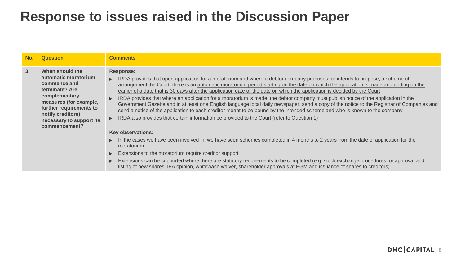| No. | <b>Question</b>                                                                                                                                                                                                   | <b>Comments</b>                                                                                                                                                                                                                                                                                                                                                                                                                                                                                                                                                                                                                                                                                                                                                                                                                                                                                                                                                                                                                                                                                                                                                                                                                                                                                                                                                                                                                                                                                                                                                                  |
|-----|-------------------------------------------------------------------------------------------------------------------------------------------------------------------------------------------------------------------|----------------------------------------------------------------------------------------------------------------------------------------------------------------------------------------------------------------------------------------------------------------------------------------------------------------------------------------------------------------------------------------------------------------------------------------------------------------------------------------------------------------------------------------------------------------------------------------------------------------------------------------------------------------------------------------------------------------------------------------------------------------------------------------------------------------------------------------------------------------------------------------------------------------------------------------------------------------------------------------------------------------------------------------------------------------------------------------------------------------------------------------------------------------------------------------------------------------------------------------------------------------------------------------------------------------------------------------------------------------------------------------------------------------------------------------------------------------------------------------------------------------------------------------------------------------------------------|
| 3.  | When should the<br>automatic moratorium<br>commence and<br>terminate? Are<br>complementary<br>measures (for example,<br>further requirements to<br>notify creditors)<br>necessary to support its<br>commencement? | <b>Response:</b><br>► IRDA provides that upon application for a moratorium and where a debtor company proposes, or intends to propose, a scheme of<br>arrangement the Court, there is an automatic moratorium period starting on the date on which the application is made and ending on the<br>earlier of a date that is 30 days after the application date or the date on which the application is decided by the Court<br>IRDA provides that where an application for a moratorium is made, the debtor company must publish notice of the application in the<br>$\blacktriangleright$<br>Government Gazette and in at least one English language local daily newspaper, send a copy of the notice to the Registrar of Companies and<br>send a notice of the application to each creditor meant to be bound by the intended scheme and who is known to the company<br>IRDA also provides that certain information be provided to the Court (refer to Question 1)<br>$\blacktriangleright$<br><b>Key observations:</b><br>In the cases we have been involved in, we have seen schemes completed in 4 months to 2 years from the date of application for the<br>$\blacktriangleright$<br>moratorium<br>Extensions to the moratorium require creditor support<br>$\blacktriangleright$<br>Extensions can be supported where there are statutory requirements to be completed (e.g. stock exchange procedures for approval and<br>$\blacktriangleright$<br>listing of new shares, IFA opinion, whitewash waiver, shareholder approvals at EGM and issuance of shares to creditors) |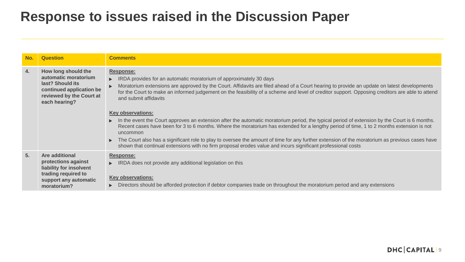| No. | <b>Question</b>                                                                                                                          | <b>Comments</b>                                                                                                                                                                                                                                                                                                                                                                                                                                                                                                                                                                                                                   |
|-----|------------------------------------------------------------------------------------------------------------------------------------------|-----------------------------------------------------------------------------------------------------------------------------------------------------------------------------------------------------------------------------------------------------------------------------------------------------------------------------------------------------------------------------------------------------------------------------------------------------------------------------------------------------------------------------------------------------------------------------------------------------------------------------------|
| 4.  | How long should the<br>automatic moratorium<br>last? Should its<br>continued application be<br>reviewed by the Court at<br>each hearing? | <b>Response:</b><br>IRDA provides for an automatic moratorium of approximately 30 days<br>$\blacktriangleright$<br>Moratorium extensions are approved by the Court. Affidavits are filed ahead of a Court hearing to provide an update on latest developments<br>for the Court to make an informed judgement on the feasibility of a scheme and level of creditor support. Opposing creditors are able to attend<br>and submit affidavits                                                                                                                                                                                         |
|     |                                                                                                                                          | <b>Key observations:</b><br>In the event the Court approves an extension after the automatic moratorium period, the typical period of extension by the Court is 6 months.<br>▶<br>Recent cases have been for 3 to 6 months. Where the moratorium has extended for a lengthy period of time, 1 to 2 months extension is not<br>uncommon<br>The Court also has a significant role to play to oversee the amount of time for any further extension of the moratorium as previous cases have<br>$\blacktriangleright$<br>shown that continual extensions with no firm proposal erodes value and incurs significant professional costs |
| 5.  | <b>Are additional</b><br>protections against<br>liability for insolvent<br>trading required to<br>support any automatic<br>moratorium?   | Response:<br>IRDA does not provide any additional legislation on this<br>$\blacktriangleright$<br><b>Key observations:</b><br>Directors should be afforded protection if debtor companies trade on throughout the moratorium period and any extensions<br>$\blacktriangleright$                                                                                                                                                                                                                                                                                                                                                   |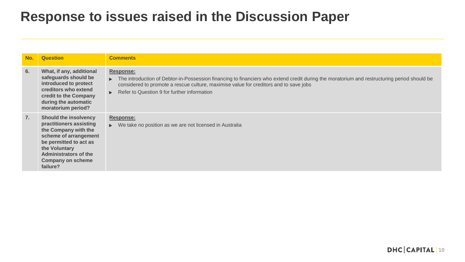| No. | <b>Question</b>                                                                                                                                                                                                             | <b>Comments</b>                                                                                                                                                                                                                                                                                                                                           |
|-----|-----------------------------------------------------------------------------------------------------------------------------------------------------------------------------------------------------------------------------|-----------------------------------------------------------------------------------------------------------------------------------------------------------------------------------------------------------------------------------------------------------------------------------------------------------------------------------------------------------|
| 6.  | What, if any, additional<br>safeguards should be<br>introduced to protect<br>creditors who extend<br>credit to the Company<br>during the automatic<br>moratorium period?                                                    | <b>Response:</b><br>The introduction of Debtor-in-Possession financing to financiers who extend credit during the moratorium and restructuring period should be<br>$\blacktriangleright$<br>considered to promote a rescue culture, maximise value for creditors and to save jobs<br>Refer to Question 9 for further information<br>$\blacktriangleright$ |
| 7.  | <b>Should the insolvency</b><br>practitioners assisting<br>the Company with the<br>scheme of arrangement<br>be permitted to act as<br>the Voluntary<br><b>Administrators of the</b><br><b>Company on scheme</b><br>failure? | Response:<br>• We take no position as we are not licensed in Australia                                                                                                                                                                                                                                                                                    |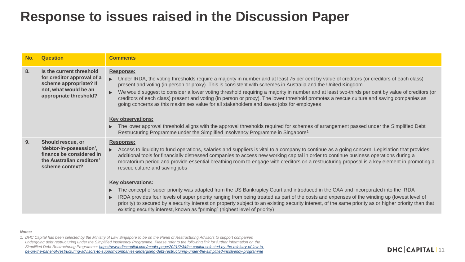| No. | <b>Question</b>                                                                                                                     | <b>Comments</b>                                                                                                                                                                                                                                                                                                                                                                                                                                                                                                                                                                                                                                                                                                                                                                                                                                                                                                                                                                                                                                                           |
|-----|-------------------------------------------------------------------------------------------------------------------------------------|---------------------------------------------------------------------------------------------------------------------------------------------------------------------------------------------------------------------------------------------------------------------------------------------------------------------------------------------------------------------------------------------------------------------------------------------------------------------------------------------------------------------------------------------------------------------------------------------------------------------------------------------------------------------------------------------------------------------------------------------------------------------------------------------------------------------------------------------------------------------------------------------------------------------------------------------------------------------------------------------------------------------------------------------------------------------------|
| 8.  | Is the current threshold<br>for creditor approval of a<br>scheme appropriate? If<br>not, what would be an<br>appropriate threshold? | Response:<br>Under IRDA, the voting thresholds require a majority in number and at least 75 per cent by value of creditors (or creditors of each class)<br>present and voting (in person or proxy). This is consistent with schemes in Australia and the United Kingdom<br>We would suggest to consider a lower voting threshold requiring a majority in number and at least two-thirds per cent by value of creditors (or<br>creditors of each class) present and voting (in person or proxy). The lower threshold promotes a rescue culture and saving companies as<br>going concerns as this maximises value for all stakeholders and saves jobs for employees<br><b>Key observations:</b><br>The lower approval threshold aligns with the approval thresholds required for schemes of arrangement passed under the Simplified Debt<br>$\blacktriangleright$<br>Restructuring Programme under the Simplified Insolvency Programme in Singapore <sup>1</sup>                                                                                                            |
| 9.  | Should rescue, or<br>'debtor-in-possession',<br>finance be considered in<br>the Australian creditors'<br>scheme context?            | Response:<br>Access to liquidity to fund operations, salaries and suppliers is vital to a company to continue as a going concern. Legislation that provides<br>additional tools for financially distressed companies to access new working capital in order to continue business operations during a<br>moratorium period and provide essential breathing room to engage with creditors on a restructuring proposal is a key element in promoting a<br>rescue culture and saving jobs<br><b>Key observations:</b><br>The concept of super priority was adapted from the US Bankruptcy Court and introduced in the CAA and incorporated into the IRDA<br>$\blacktriangleright$<br>IRDA provides four levels of super priority ranging from being treated as part of the costs and expenses of the winding up (lowest level of<br>ь<br>priority) to secured by a security interest on property subject to an existing security interest, of the same priority as or higher priority than that<br>existing security interest, known as "priming" (highest level of priority) |

#### *Notes:*

*1. DHC Capital has been selected by the Ministry of Law Singapore to be on the Panel of Restructuring Advisors to support companies undergoing debt restructuring under the Simplified Insolvency Programme. Please refer to the following link for further information on the Simplified Debt Restructuring Programme: https://www.dhccapital.com/media-page/2021/2/3/dhc-capital-selected-by-the-ministry-of-law-to[be-on-the-panel-of-restructuring-advisors-to-support-companies-undergoing-debt-restructuring-under-the-simplified-insolvency-programme](https://www.dhccapital.com/media-page/2021/2/3/dhc-capital-selected-by-the-ministry-of-law-to-be-on-the-panel-of-restructuring-advisors-to-support-companies-undergoing-debt-restructuring-under-the-simplified-insolvency-programme)*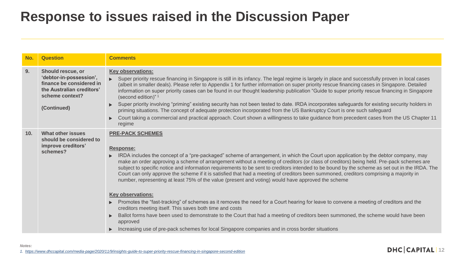| No.             | <b>Question</b>                                                                                                                         | <b>Comments</b>                                                                                                                                                                                                                                                                                                                                                                                                                                                                                                                                                                                                                                                                                                                                                                                                                                                                                                                                                    |
|-----------------|-----------------------------------------------------------------------------------------------------------------------------------------|--------------------------------------------------------------------------------------------------------------------------------------------------------------------------------------------------------------------------------------------------------------------------------------------------------------------------------------------------------------------------------------------------------------------------------------------------------------------------------------------------------------------------------------------------------------------------------------------------------------------------------------------------------------------------------------------------------------------------------------------------------------------------------------------------------------------------------------------------------------------------------------------------------------------------------------------------------------------|
| 9.              | Should rescue, or<br>'debtor-in-possession',<br>finance be considered in<br>the Australian creditors'<br>scheme context?<br>(Continued) | <b>Key observations:</b><br>Super priority rescue financing in Singapore is still in its infancy. The legal regime is largely in place and successfully proven in local cases<br>(albeit in smaller deals). Please refer to Appendix 1 for further information on super priority rescue financing cases in Singapore. Detailed<br>information on super priority cases can be found in our thought leadership publication "Guide to super priority rescue financing in Singapore<br>(second edition)" 1<br>Super priority involving "priming" existing security has not been tested to date. IRDA incorporates safeguards for existing security holders in<br>$\blacktriangleright$<br>priming situations. The concept of adequate protection incorporated from the US Bankruptcy Court is one such safeguard<br>Court taking a commercial and practical approach. Court shown a willingness to take guidance from precedent cases from the US Chapter 11<br>regime |
| 10 <sub>1</sub> | <b>What other issues</b><br>should be considered to<br>improve creditors'<br>schemes?                                                   | <b>PRE-PACK SCHEMES</b><br>Response:<br>IRDA includes the concept of a "pre-packaged" scheme of arrangement, in which the Court upon application by the debtor company, may<br>make an order approving a scheme of arrangement without a meeting of creditors (or class of creditors) being held. Pre-pack schemes are<br>subject to specific notice and information requirements to be sent to creditors intended to be bound by the scheme as set out in the IRDA. The<br>Court can only approve the scheme if it is satisfied that had a meeting of creditors been summoned, creditors comprising a majority in<br>number, representing at least 75% of the value (present and voting) would have approved the scheme<br><b>Key observations:</b><br>Promotes the "fast-tracking" of schemes as it removes the need for a Court hearing for leave to convene a meeting of creditors and the                                                                     |
|                 |                                                                                                                                         | creditors meeting itself. This saves both time and costs<br>Ballot forms have been used to demonstrate to the Court that had a meeting of creditors been summoned, the scheme would have been<br>$\blacktriangleright$<br>approved                                                                                                                                                                                                                                                                                                                                                                                                                                                                                                                                                                                                                                                                                                                                 |
|                 |                                                                                                                                         | Increasing use of pre-pack schemes for local Singapore companies and in cross border situations<br>$\blacktriangleright$                                                                                                                                                                                                                                                                                                                                                                                                                                                                                                                                                                                                                                                                                                                                                                                                                                           |

*1. <https://www.dhccapital.com/media-page/2020/11/9/insights-guide-to-super-priority-rescue-financing-in-singapore-second-edition>*

*Notes:*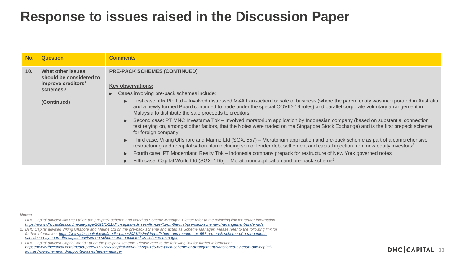| No. | <b>Question</b>                                                                       | <b>Comments</b>                                                                                                                                                                                                                                                                                                                                                                                                                                                                                                                                                                                                           |
|-----|---------------------------------------------------------------------------------------|---------------------------------------------------------------------------------------------------------------------------------------------------------------------------------------------------------------------------------------------------------------------------------------------------------------------------------------------------------------------------------------------------------------------------------------------------------------------------------------------------------------------------------------------------------------------------------------------------------------------------|
| 10. | <b>What other issues</b><br>should be considered to<br>improve creditors'<br>schemes? | <b>PRE-PACK SCHEMES (CONTINUED)</b><br><b>Key observations:</b><br>$\triangleright$ Cases involving pre-pack schemes include:                                                                                                                                                                                                                                                                                                                                                                                                                                                                                             |
|     | (Continued)                                                                           | First case: if ix Pte Ltd – Involved distressed M&A transaction for sale of business (where the parent entity was incorporated in Australia<br>and a newly formed Board continued to trade under the special COVID-19 rules) and parallel corporate voluntary arrangement in<br>Malaysia to distribute the sale proceeds to creditors <sup>1</sup><br>► Second case: PT MNC Investama Tbk – Involved moratorium application by Indonesian company (based on substantial connection<br>test relying on, amongst other factors, that the Notes were traded on the Singapore Stock Exchange) and is the first prepack scheme |
|     |                                                                                       | for foreign company<br>Third case: Viking Offshore and Marine Ltd (SGX: 557) – Moratorium application and pre-pack scheme as part of a comprehensive<br>restructuring and recapitalisation plan including senior lender debt settlement and capital injection from new equity investors <sup>2</sup><br>Fourth case: PT Modernland Realty Tbk – Indonesia company prepack for restructure of New York governed notes<br>Fifth case: Capital World Ltd (SGX: 1D5) – Moratorium application and pre-pack scheme <sup>3</sup>                                                                                                |

*Notes:*

*<sup>1.</sup> DHC Capital advised iflix Pte Ltd on the pre-pack scheme and acted as Scheme Manager. Please refer to the following link for further information: <https://www.dhccapital.com/media-page/2021/1/21/dhc-capital-advises-iflix-pte-ltd-on-the-first-pre-pack-scheme-of-arrangement-under-irda>*

*<sup>2.</sup> DHC Capital advised Viking Offshore and Marine Ltd on the pre-pack scheme and acted as Scheme Manager. Please refer to the following link for [further information: https://www.dhccapital.com/media-page/2021/6/2/viking-offshore-and-marine-sgx-557-pre-pack-scheme-of-arrangement](https://www.dhccapital.com/media-page/2021/6/2/viking-offshore-and-marine-sgx-557-pre-pack-scheme-of-arrangement-sanctioned-by-court-dhc-capital-advised-on-scheme-and-appointed-as-scheme-manager)sanctioned-by-court-dhc-capital-advised-on-scheme-and-appointed-as-scheme-manager*

*<sup>3.</sup> DHC Capital advised Captial World Ltd on the pre-pack scheme. Please refer to the following link for further information: [https://www.dhccapital.com/media-page/2021/7/28/capital-world-ltd-sgx-1d5-pre-pack-scheme-of-arrangement-sanctioned-by-court-dhc-capital](https://www.dhccapital.com/media-page/2021/7/28/capital-world-ltd-sgx-1d5-pre-pack-scheme-of-arrangement-sanctioned-by-court-dhc-capital-advised-on-scheme-and-appointed-as-scheme-manager)advised-on-scheme-and-appointed-as-scheme-manager*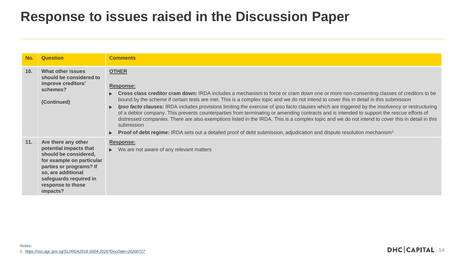| No.             | <b>Question</b>                                                                                                                                                                                                 | <b>Comments</b>                                                                                                                                                                                                                                                                                                                                                                                                                                                                                                                                                                                                                                                                                                                                                                                                                                                                                                                                                                                               |
|-----------------|-----------------------------------------------------------------------------------------------------------------------------------------------------------------------------------------------------------------|---------------------------------------------------------------------------------------------------------------------------------------------------------------------------------------------------------------------------------------------------------------------------------------------------------------------------------------------------------------------------------------------------------------------------------------------------------------------------------------------------------------------------------------------------------------------------------------------------------------------------------------------------------------------------------------------------------------------------------------------------------------------------------------------------------------------------------------------------------------------------------------------------------------------------------------------------------------------------------------------------------------|
| 10 <sub>1</sub> | <b>What other issues</b><br>should be considered to<br>improve creditors'<br>schemes?<br>(Continued)                                                                                                            | <b>OTHER</b><br>Response:<br>Cross class creditor cram down: IRDA includes a mechanism to force or cram down one or more non-consenting classes of creditors to be<br>$\blacktriangleright$<br>bound by the scheme if certain tests are met. This is a complex topic and we do not intend to cover this in detail in this submission<br><b>Ipso facto clauses:</b> IRDA includes provisions limiting the exercise of ipso facto clauses which are triggered by the insolvency or restructuring<br>$\blacktriangleright$<br>of a debtor company. This prevents counterparties from terminating or amending contracts and is intended to support the rescue efforts of<br>distressed companies. There are also exemptions listed in the IRDA. This is a complex topic and we do not intend to cover this in detail in this<br>submission<br><b>Proof of debt regime:</b> IRDA sets out a detailed proof of debt submission, adjudication and dispute resolution mechanism <sup>1</sup><br>$\blacktriangleright$ |
| 11.             | Are there any other<br>potential impacts that<br>should be considered,<br>for example on particular<br>parties or programs? If<br>so, are additional<br>safeguards required in<br>response to those<br>impacts? | <b>Response:</b><br>$\triangleright$ We are not aware of any relevant matters                                                                                                                                                                                                                                                                                                                                                                                                                                                                                                                                                                                                                                                                                                                                                                                                                                                                                                                                 |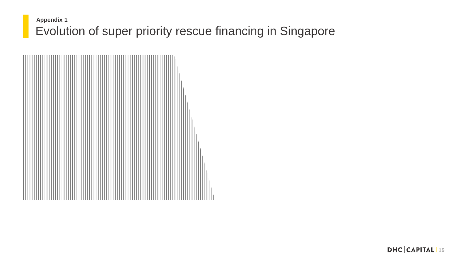#### Evolution of super priority rescue financing in Singapore **Appendix 1**

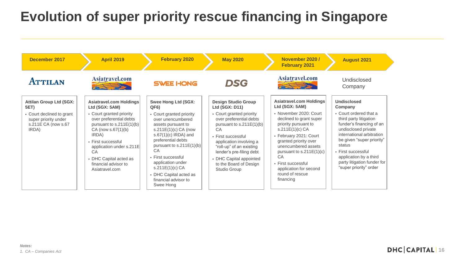# **Evolution of super priority rescue financing in Singapore**